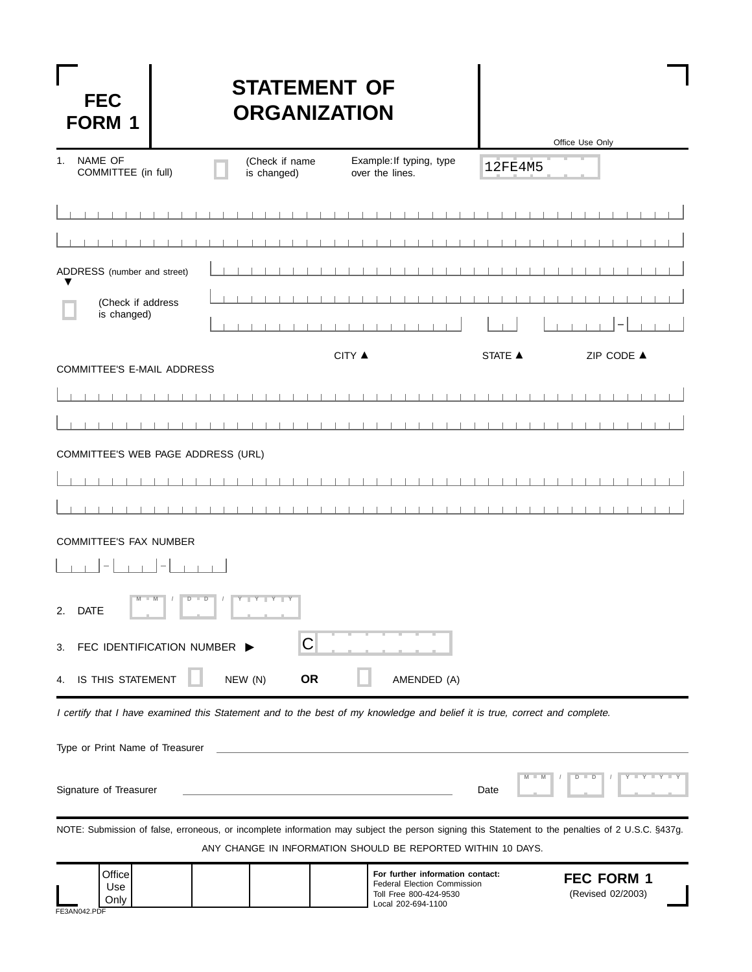| <b>FEC</b>    |  |
|---------------|--|
| <b>FORM 1</b> |  |

## **STATEMENT OF ORGANIZATION**

|                                                                                                                                                   |                                                                                           |              |        |                                             |             |  |                |  | Office Use Only |            |                     |  |
|---------------------------------------------------------------------------------------------------------------------------------------------------|-------------------------------------------------------------------------------------------|--------------|--------|---------------------------------------------|-------------|--|----------------|--|-----------------|------------|---------------------|--|
| NAME OF<br>1.<br>COMMITTEE (in full)                                                                                                              | (Check if name<br>is changed)                                                             |              |        | Example: If typing, type<br>over the lines. |             |  | 12FE4M5        |  |                 |            |                     |  |
|                                                                                                                                                   |                                                                                           |              |        |                                             |             |  |                |  |                 |            |                     |  |
|                                                                                                                                                   |                                                                                           |              |        |                                             |             |  |                |  |                 |            |                     |  |
| ADDRESS (number and street)                                                                                                                       |                                                                                           |              |        |                                             |             |  |                |  |                 |            |                     |  |
| (Check if address<br>is changed)                                                                                                                  |                                                                                           |              |        |                                             |             |  |                |  |                 |            |                     |  |
|                                                                                                                                                   |                                                                                           |              |        |                                             |             |  |                |  |                 |            |                     |  |
| COMMITTEE'S E-MAIL ADDRESS                                                                                                                        |                                                                                           |              | CITY ▲ |                                             |             |  | <b>STATE ▲</b> |  |                 | ZIP CODE ▲ |                     |  |
|                                                                                                                                                   |                                                                                           |              |        |                                             |             |  |                |  |                 |            |                     |  |
|                                                                                                                                                   |                                                                                           |              |        |                                             |             |  |                |  |                 |            |                     |  |
| COMMITTEE'S WEB PAGE ADDRESS (URL)                                                                                                                |                                                                                           |              |        |                                             |             |  |                |  |                 |            |                     |  |
|                                                                                                                                                   |                                                                                           |              |        |                                             |             |  |                |  |                 |            |                     |  |
|                                                                                                                                                   |                                                                                           |              |        |                                             |             |  |                |  |                 |            |                     |  |
| <b>COMMITTEE'S FAX NUMBER</b>                                                                                                                     |                                                                                           |              |        |                                             |             |  |                |  |                 |            |                     |  |
|                                                                                                                                                   |                                                                                           |              |        |                                             |             |  |                |  |                 |            |                     |  |
| D<br>2.<br><b>DATE</b>                                                                                                                            | $Y - Y - Y - Y$                                                                           |              |        |                                             |             |  |                |  |                 |            |                     |  |
| FEC IDENTIFICATION NUMBER ▶<br>3.                                                                                                                 |                                                                                           | $\mathsf{C}$ |        |                                             |             |  |                |  |                 |            |                     |  |
| IS THIS STATEMENT<br>4.                                                                                                                           | NEW (N)                                                                                   | <b>OR</b>    |        |                                             | AMENDED (A) |  |                |  |                 |            |                     |  |
| I certify that I have examined this Statement and to the best of my knowledge and belief it is true, correct and complete.                        |                                                                                           |              |        |                                             |             |  |                |  |                 |            |                     |  |
| Type or Print Name of Treasurer                                                                                                                   |                                                                                           |              |        |                                             |             |  |                |  |                 |            |                     |  |
| Signature of Treasurer                                                                                                                            | the control of the control of the control of the control of the control of the control of |              |        |                                             |             |  | Date           |  | $D$ $D$         |            | $Y - Y - Y - Y - Y$ |  |
| NOTE: Submission of false, erroneous, or incomplete information may subject the person signing this Statement to the penalties of 2 U.S.C. §437g. | ANY CHANGE IN INFORMATION SHOULD BE REPORTED WITHIN 10 DAYS.                              |              |        |                                             |             |  |                |  |                 |            |                     |  |

| Office<br>Use<br>Only | For further information contact:<br><b>Federal Election Commission</b><br>Toll Free 800-424-9530<br>Local 202-694-1100 | <b>FEC FORM 1</b><br>(Revised 02/2003) |
|-----------------------|------------------------------------------------------------------------------------------------------------------------|----------------------------------------|
|-----------------------|------------------------------------------------------------------------------------------------------------------------|----------------------------------------|

FE3AN042.PDF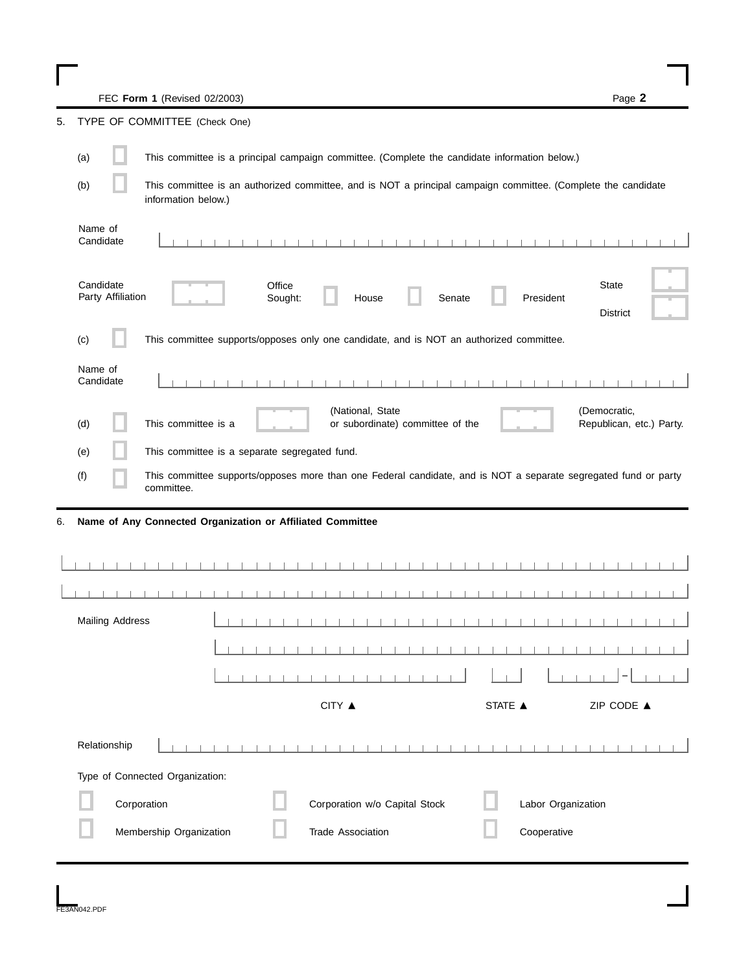FEC **Form 1** (Revised 02/2003) Page **2**

TYPE OF COMMITTEE (Check One)

|    | TILE OI COMMUTILE (CHECK OILE) |                                                                                                                                      |
|----|--------------------------------|--------------------------------------------------------------------------------------------------------------------------------------|
|    | (a)                            | This committee is a principal campaign committee. (Complete the candidate information below.)                                        |
|    | (b)                            | This committee is an authorized committee, and is NOT a principal campaign committee. (Complete the candidate<br>information below.) |
|    | Name of<br>Candidate           |                                                                                                                                      |
|    | Candidate<br>Party Affiliation | Office<br>State<br>Senate<br>President<br>Sought:<br>House<br><b>District</b>                                                        |
|    | (c)                            | This committee supports/opposes only one candidate, and is NOT an authorized committee.                                              |
|    | Name of<br>Candidate           |                                                                                                                                      |
|    | (d)                            | (National, State<br>(Democratic,<br>This committee is a<br>or subordinate) committee of the<br>Republican, etc.) Party.              |
|    |                                | This committee is a separate segregated fund.                                                                                        |
|    | (e)                            |                                                                                                                                      |
|    | (f)                            | This committee supports/opposes more than one Federal candidate, and is NOT a separate segregated fund or party<br>committee.        |
| 6. |                                | Name of Any Connected Organization or Affiliated Committee                                                                           |
|    |                                |                                                                                                                                      |
|    |                                |                                                                                                                                      |
|    |                                |                                                                                                                                      |
|    | <b>Mailing Address</b>         |                                                                                                                                      |
|    |                                |                                                                                                                                      |
|    |                                | and the state of the state of the<br>- 11                                                                                            |
|    |                                | CITY ▲<br>ZIP CODE ▲<br>STATE ▲                                                                                                      |
|    | Relationship                   |                                                                                                                                      |
|    |                                | Type of Connected Organization:                                                                                                      |
|    |                                | Corporation<br>Corporation w/o Capital Stock<br>Labor Organization                                                                   |
|    |                                | Membership Organization<br>Cooperative<br><b>Trade Association</b>                                                                   |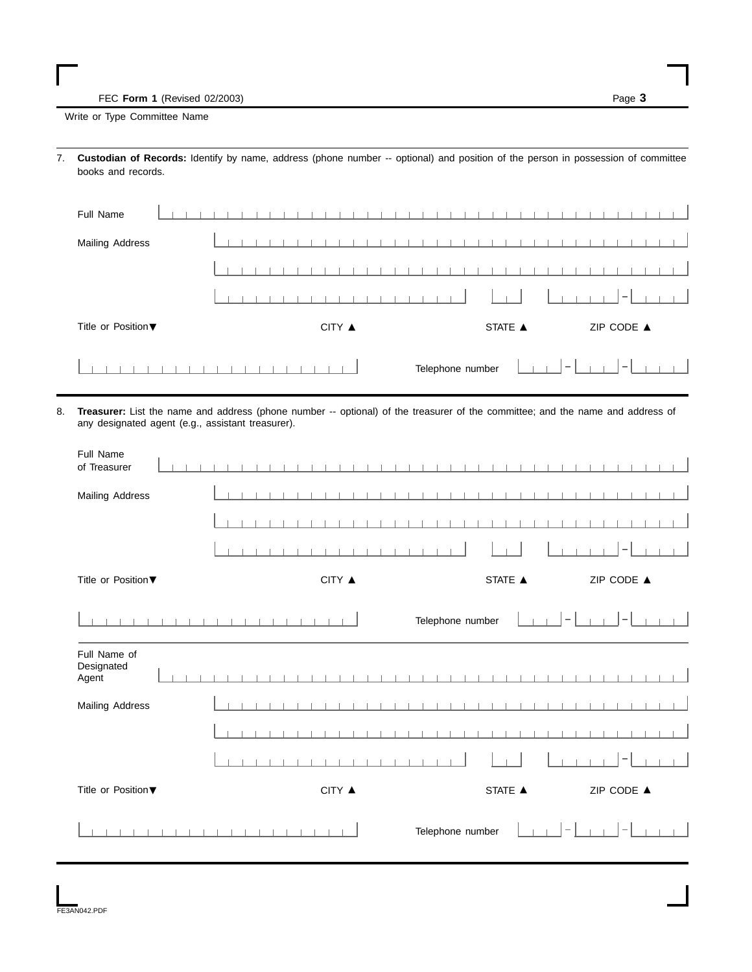FEC **Form 1** (Revised 02/2003) Page **3**

Write or Type Committee Name

7. **Custodian of Records:** Identify by name, address (phone number -- optional) and position of the person in possession of committee books and records.

| Full Name              |        |                  |                                                                                                                                           |
|------------------------|--------|------------------|-------------------------------------------------------------------------------------------------------------------------------------------|
| <b>Mailing Address</b> |        |                  |                                                                                                                                           |
|                        |        |                  |                                                                                                                                           |
|                        |        | $\mathbf{1}$     | 1. 1-1.                                                                                                                                   |
| Title or Position ▼    | CITY ▲ | STATE A          | ZIP CODE ▲                                                                                                                                |
|                        |        | Telephone number | $\sim$ 1<br>$\frac{1}{2}$ , $\frac{1}{2}$ , $\frac{1}{2}$ , $\frac{1}{2}$ , $\frac{1}{2}$ , $\frac{1}{2}$ , $\frac{1}{2}$ , $\frac{1}{2}$ |

8. **Treasurer:** List the name and address (phone number -- optional) of the treasurer of the committee; and the name and address of any designated agent (e.g., assistant treasurer).

| Full Name<br>of Treasurer           |                    |                        |            |
|-------------------------------------|--------------------|------------------------|------------|
| <b>Mailing Address</b>              |                    |                        |            |
|                                     |                    |                        |            |
|                                     |                    |                        |            |
| Title or Position ▼                 | $CITY$ $\triangle$ | STATE ▲                | ZIP CODE ▲ |
|                                     |                    | Telephone number       | -          |
| Full Name of<br>Designated<br>Agent |                    |                        |            |
| <b>Mailing Address</b>              |                    |                        |            |
|                                     |                    |                        |            |
|                                     |                    |                        |            |
| Title or Position ▼                 | $CITY$ $\triangle$ | STATE $\blacktriangle$ | ZIP CODE ▲ |
|                                     |                    | Telephone number       |            |